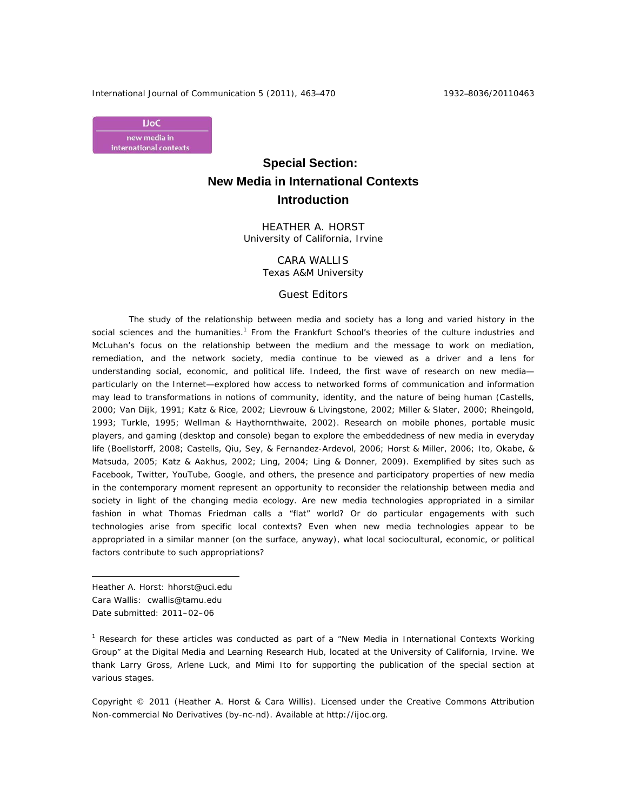International Journal of Communication 5 (2011), 463–470 1932–8036/20110463



# **Special Section: New Media in International Contexts Introduction**

HEATHER A. HORST University of California, Irvine

> CARA WALLIS Texas A&M University

### Guest Editors

The study of the relationship between media and society has a long and varied history in the social sciences and the humanities.<sup>1</sup> From the Frankfurt School's theories of the culture industries and McLuhan's focus on the relationship between the medium and the message to work on mediation, remediation, and the network society, media continue to be viewed as a driver and a lens for understanding social, economic, and political life. Indeed, the first wave of research on new media particularly on the Internet—explored how access to networked forms of communication and information may lead to transformations in notions of community, identity, and the nature of being human (Castells, 2000; Van Dijk, 1991; Katz & Rice, 2002; Lievrouw & Livingstone, 2002; Miller & Slater, 2000; Rheingold, 1993; Turkle, 1995; Wellman & Haythornthwaite, 2002). Research on mobile phones, portable music players, and gaming (desktop and console) began to explore the embeddedness of new media in everyday life (Boellstorff, 2008; Castells, Qiu, Sey, & Fernandez-Ardevol, 2006; Horst & Miller, 2006; Ito, Okabe, & Matsuda, 2005; Katz & Aakhus, 2002; Ling, 2004; Ling & Donner, 2009). Exemplified by sites such as Facebook, Twitter, YouTube, Google, and others, the presence and participatory properties of new media in the contemporary moment represent an opportunity to reconsider the relationship between media and society in light of the changing media ecology. Are new media technologies appropriated in a similar fashion in what Thomas Friedman calls a "flat" world? Or do particular engagements with such technologies arise from specific local contexts? Even when new media technologies appear to be appropriated in a similar manner (on the surface, anyway), what local sociocultural, economic, or political factors contribute to such appropriations?

Heather A. Horst: hhorst@uci.edu Cara Wallis: cwallis@tamu.edu Date submitted: 2011–02–06

 $\overline{a}$ 

<sup>1</sup> Research for these articles was conducted as part of a "New Media in International Contexts Working Group" at the Digital Media and Learning Research Hub, located at the University of California, Irvine. We thank Larry Gross, Arlene Luck, and Mimi Ito for supporting the publication of the special section at various stages.

Copyright © 2011 (Heather A. Horst & Cara Willis). Licensed under the Creative Commons Attribution Non-commercial No Derivatives (by-nc-nd). Available at http://ijoc.org.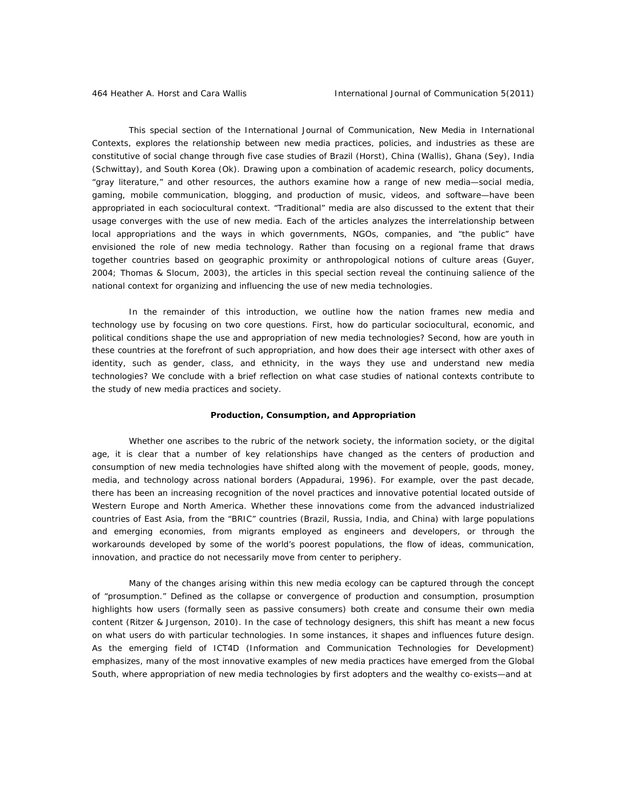This special section of the *International Journal of Communication*, New Media in International Contexts, explores the relationship between new media practices, policies, and industries as these are constitutive of social change through five case studies of Brazil (Horst), China (Wallis), Ghana (Sey), India (Schwittay), and South Korea (Ok). Drawing upon a combination of academic research, policy documents, "gray literature," and other resources, the authors examine how a range of new media—social media, gaming, mobile communication, blogging, and production of music, videos, and software—have been appropriated in each sociocultural context. "Traditional" media are also discussed to the extent that their usage converges with the use of new media. Each of the articles analyzes the interrelationship between local appropriations and the ways in which governments, NGOs, companies, and "the public" have envisioned the role of new media technology. Rather than focusing on a regional frame that draws together countries based on geographic proximity or anthropological notions of culture areas (Guyer, 2004; Thomas & Slocum, 2003), the articles in this special section reveal the continuing salience of the national context for organizing and influencing the use of new media technologies.

In the remainder of this introduction, we outline how the nation frames new media and technology use by focusing on two core questions. First, how do particular sociocultural, economic, and political conditions shape the use and appropriation of new media technologies? Second, how are youth in these countries at the forefront of such appropriation, and how does their age intersect with other axes of identity, such as gender, class, and ethnicity, in the ways they use and understand new media technologies? We conclude with a brief reflection on what case studies of national contexts contribute to the study of new media practices and society.

#### **Production, Consumption, and Appropriation**

Whether one ascribes to the rubric of the network society, the information society, or the digital age, it is clear that a number of key relationships have changed as the centers of production and consumption of new media technologies have shifted along with the movement of people, goods, money, media, and technology across national borders (Appadurai, 1996). For example, over the past decade, there has been an increasing recognition of the novel practices and innovative potential located outside of Western Europe and North America. Whether these innovations come from the advanced industrialized countries of East Asia, from the "BRIC" countries (Brazil, Russia, India, and China) with large populations and emerging economies, from migrants employed as engineers and developers, or through the workarounds developed by some of the world's poorest populations, the flow of ideas, communication, innovation, and practice do not necessarily move from center to periphery.

Many of the changes arising within this new media ecology can be captured through the concept of "prosumption." Defined as the collapse or convergence of production and consumption, prosumption highlights how users (formally seen as passive consumers) both create and consume their own media content (Ritzer & Jurgenson, 2010). In the case of technology designers, this shift has meant a new focus on what users do with particular technologies. In some instances, it shapes and influences future design. As the emerging field of ICT4D (Information and Communication Technologies for Development) emphasizes, many of the most innovative examples of new media practices have emerged from the Global South, where appropriation of new media technologies by first adopters and the wealthy co-exists—and at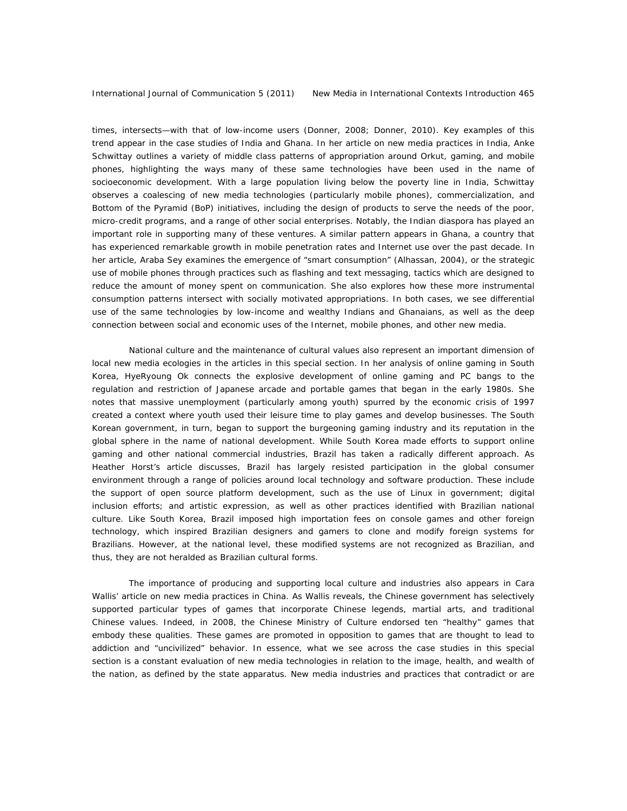times, intersects—with that of low-income users (Donner, 2008; Donner, 2010). Key examples of this trend appear in the case studies of India and Ghana. In her article on new media practices in India, Anke Schwittay outlines a variety of middle class patterns of appropriation around Orkut, gaming, and mobile phones, highlighting the ways many of these same technologies have been used in the name of socioeconomic development. With a large population living below the poverty line in India, Schwittay observes a coalescing of new media technologies (particularly mobile phones), commercialization, and Bottom of the Pyramid (BoP) initiatives, including the design of products to serve the needs of the poor, micro-credit programs, and a range of other social enterprises. Notably, the Indian diaspora has played an important role in supporting many of these ventures. A similar pattern appears in Ghana, a country that has experienced remarkable growth in mobile penetration rates and Internet use over the past decade. In her article, Araba Sey examines the emergence of "smart consumption" (Alhassan, 2004), or the strategic use of mobile phones through practices such as flashing and text messaging, tactics which are designed to reduce the amount of money spent on communication. She also explores how these more instrumental consumption patterns intersect with socially motivated appropriations. In both cases, we see differential use of the same technologies by low-income and wealthy Indians and Ghanaians, as well as the deep connection between social and economic uses of the Internet, mobile phones, and other new media.

National culture and the maintenance of cultural values also represent an important dimension of local new media ecologies in the articles in this special section. In her analysis of online gaming in South Korea, HyeRyoung Ok connects the explosive development of online gaming and *PC bangs* to the regulation and restriction of Japanese arcade and portable games that began in the early 1980s. She notes that massive unemployment (particularly among youth) spurred by the economic crisis of 1997 created a context where youth used their leisure time to play games and develop businesses. The South Korean government, in turn, began to support the burgeoning gaming industry and its reputation in the global sphere in the name of national development. While South Korea made efforts to support online gaming and other national commercial industries, Brazil has taken a radically different approach. As Heather Horst's article discusses, Brazil has largely resisted participation in the global consumer environment through a range of policies around local technology and software production. These include the support of open source platform development, such as the use of Linux in government; digital inclusion efforts; and artistic expression, as well as other practices identified with Brazilian national culture. Like South Korea, Brazil imposed high importation fees on console games and other foreign technology, which inspired Brazilian designers and gamers to clone and modify foreign systems for Brazilians. However, at the national level, these modified systems are not recognized as Brazilian, and thus, they are not heralded as Brazilian cultural forms.

The importance of producing and supporting local culture and industries also appears in Cara Wallis' article on new media practices in China. As Wallis reveals, the Chinese government has selectively supported particular types of games that incorporate Chinese legends, martial arts, and traditional Chinese values. Indeed, in 2008, the Chinese Ministry of Culture endorsed ten "healthy" games that embody these qualities. These games are promoted in opposition to games that are thought to lead to addiction and "uncivilized" behavior. In essence, what we see across the case studies in this special section is a constant evaluation of new media technologies in relation to the image, health, and wealth of the nation, as defined by the state apparatus. New media industries and practices that contradict or are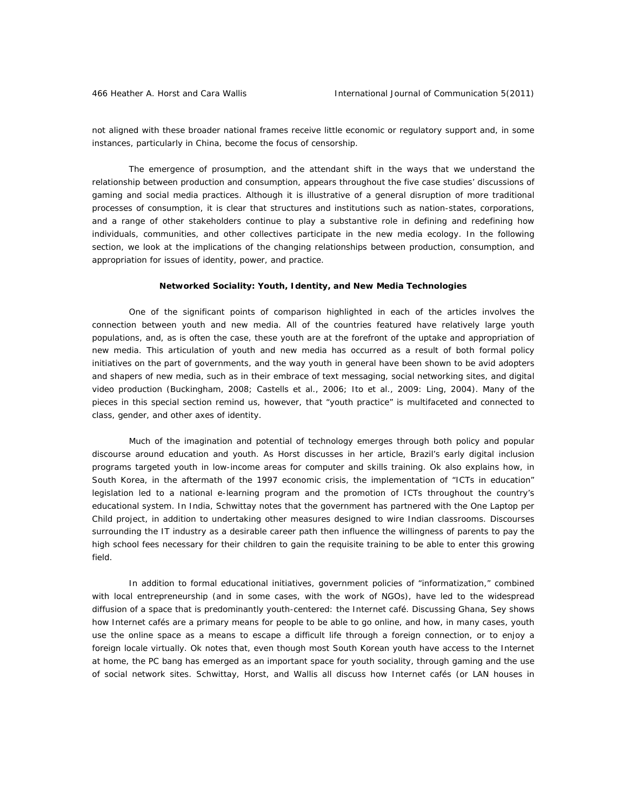not aligned with these broader national frames receive little economic or regulatory support and, in some instances, particularly in China, become the focus of censorship.

The emergence of prosumption, and the attendant shift in the ways that we understand the relationship between production and consumption, appears throughout the five case studies' discussions of gaming and social media practices. Although it is illustrative of a general disruption of more traditional processes of consumption, it is clear that structures and institutions such as nation-states, corporations, and a range of other stakeholders continue to play a substantive role in defining and redefining how individuals, communities, and other collectives participate in the new media ecology. In the following section, we look at the implications of the changing relationships between production, consumption, and appropriation for issues of identity, power, and practice.

## **Networked Sociality: Youth, Identity, and New Media Technologies**

One of the significant points of comparison highlighted in each of the articles involves the connection between youth and new media. All of the countries featured have relatively large youth populations, and, as is often the case, these youth are at the forefront of the uptake and appropriation of new media. This articulation of youth and new media has occurred as a result of both formal policy initiatives on the part of governments, and the way youth in general have been shown to be avid adopters and shapers of new media, such as in their embrace of text messaging, social networking sites, and digital video production (Buckingham, 2008; Castells et al., 2006; Ito et al., 2009: Ling, 2004). Many of the pieces in this special section remind us, however, that "youth practice" is multifaceted and connected to class, gender, and other axes of identity.

Much of the imagination and potential of technology emerges through both policy and popular discourse around education and youth. As Horst discusses in her article, Brazil's early digital inclusion programs targeted youth in low-income areas for computer and skills training. Ok also explains how, in South Korea, in the aftermath of the 1997 economic crisis, the implementation of "ICTs in education" legislation led to a national e-learning program and the promotion of ICTs throughout the country's educational system. In India, Schwittay notes that the government has partnered with the One Laptop per Child project, in addition to undertaking other measures designed to wire Indian classrooms. Discourses surrounding the IT industry as a desirable career path then influence the willingness of parents to pay the high school fees necessary for their children to gain the requisite training to be able to enter this growing field.

In addition to formal educational initiatives, government policies of "informatization," combined with local entrepreneurship (and in some cases, with the work of NGOs), have led to the widespread diffusion of a space that is predominantly youth-centered: the Internet café. Discussing Ghana, Sey shows how Internet cafés are a primary means for people to be able to go online, and how, in many cases, youth use the online space as a means to escape a difficult life through a foreign connection, or to enjoy a foreign locale virtually. Ok notes that, even though most South Korean youth have access to the Internet at home, the *PC bang* has emerged as an important space for youth sociality, through gaming and the use of social network sites. Schwittay, Horst, and Wallis all discuss how Internet cafés (or LAN houses in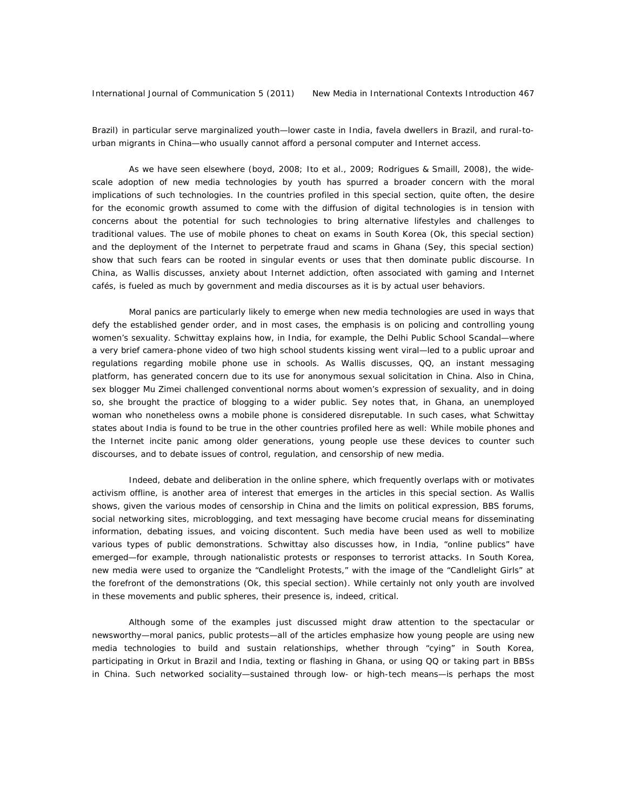Brazil) in particular serve marginalized youth—lower caste in India, *favela* dwellers in Brazil, and rural-tourban migrants in China—who usually cannot afford a personal computer and Internet access.

As we have seen elsewhere (boyd, 2008; Ito et al., 2009; Rodrigues & Smaill, 2008), the widescale adoption of new media technologies by youth has spurred a broader concern with the moral implications of such technologies. In the countries profiled in this special section, quite often, the desire for the economic growth assumed to come with the diffusion of digital technologies is in tension with concerns about the potential for such technologies to bring alternative lifestyles and challenges to traditional values. The use of mobile phones to cheat on exams in South Korea (Ok, this special section) and the deployment of the Internet to perpetrate fraud and scams in Ghana (Sey, this special section) show that such fears can be rooted in singular events or uses that then dominate public discourse. In China, as Wallis discusses, anxiety about Internet addiction, often associated with gaming and Internet cafés, is fueled as much by government and media discourses as it is by actual user behaviors.

Moral panics are particularly likely to emerge when new media technologies are used in ways that defy the established gender order, and in most cases, the emphasis is on policing and controlling young women's sexuality. Schwittay explains how, in India, for example, the Delhi Public School Scandal—where a very brief camera-phone video of two high school students kissing went viral—led to a public uproar and regulations regarding mobile phone use in schools. As Wallis discusses, QQ, an instant messaging platform, has generated concern due to its use for anonymous sexual solicitation in China. Also in China, sex blogger Mu Zimei challenged conventional norms about women's expression of sexuality, and in doing so, she brought the practice of blogging to a wider public. Sey notes that, in Ghana, an unemployed woman who nonetheless owns a mobile phone is considered disreputable. In such cases, what Schwittay states about India is found to be true in the other countries profiled here as well: While mobile phones and the Internet incite panic among older generations, young people use these devices to counter such discourses, and to debate issues of control, regulation, and censorship of new media.

Indeed, debate and deliberation in the online sphere, which frequently overlaps with or motivates activism offline, is another area of interest that emerges in the articles in this special section. As Wallis shows, given the various modes of censorship in China and the limits on political expression, BBS forums, social networking sites, microblogging, and text messaging have become crucial means for disseminating information, debating issues, and voicing discontent. Such media have been used as well to mobilize various types of public demonstrations. Schwittay also discusses how, in India, "online publics" have emerged—for example, through nationalistic protests or responses to terrorist attacks. In South Korea, new media were used to organize the "Candlelight Protests," with the image of the "Candlelight Girls" at the forefront of the demonstrations (Ok, this special section). While certainly not only youth are involved in these movements and public spheres, their presence is, indeed, critical.

Although some of the examples just discussed might draw attention to the spectacular or newsworthy—moral panics, public protests—all of the articles emphasize how young people are using new media technologies to build and sustain relationships, whether through "cying" in South Korea, participating in Orkut in Brazil and India, texting or flashing in Ghana, or using QQ or taking part in BBSs in China. Such networked sociality—sustained through low- or high-tech means—is perhaps the most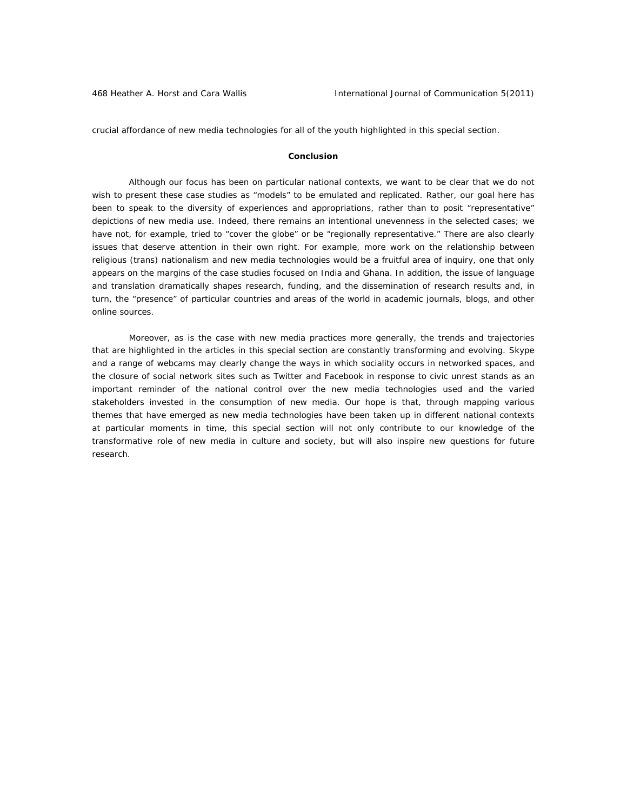crucial affordance of new media technologies for all of the youth highlighted in this special section.

### **Conclusion**

Although our focus has been on particular national contexts, we want to be clear that we do not wish to present these case studies as "models" to be emulated and replicated. Rather, our goal here has been to speak to the diversity of experiences and appropriations, rather than to posit "representative" depictions of new media use. Indeed, there remains an intentional unevenness in the selected cases; we have not, for example, tried to "cover the globe" or be "regionally representative." There are also clearly issues that deserve attention in their own right. For example, more work on the relationship between religious (trans) nationalism and new media technologies would be a fruitful area of inquiry, one that only appears on the margins of the case studies focused on India and Ghana. In addition, the issue of language and translation dramatically shapes research, funding, and the dissemination of research results and, in turn, the "presence" of particular countries and areas of the world in academic journals, blogs, and other online sources.

Moreover, as is the case with new media practices more generally, the trends and trajectories that are highlighted in the articles in this special section are constantly transforming and evolving. Skype and a range of webcams may clearly change the ways in which sociality occurs in networked spaces, and the closure of social network sites such as Twitter and Facebook in response to civic unrest stands as an important reminder of the national control over the new media technologies used and the varied stakeholders invested in the consumption of new media. Our hope is that, through mapping various themes that have emerged as new media technologies have been taken up in different national contexts at particular moments in time, this special section will not only contribute to our knowledge of the transformative role of new media in culture and society, but will also inspire new questions for future research.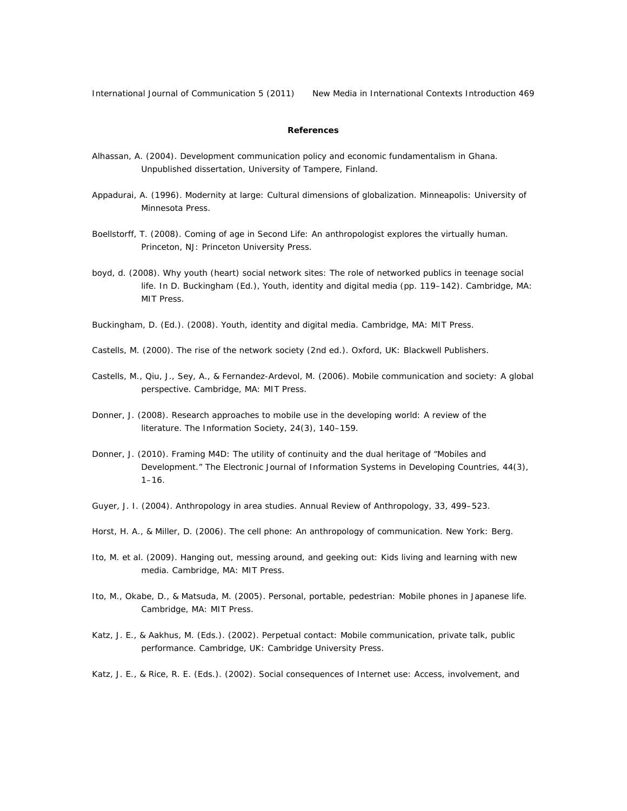International Journal of Communication 5 (2011) New Media in International Contexts Introduction 469

# **References**

- Alhassan, A. (2004). *Development communication policy and economic fundamentalism in Ghana*. Unpublished dissertation, University of Tampere, Finland.
- Appadurai, A. (1996). *Modernity at large: Cultural dimensions of globalization*. Minneapolis: University of Minnesota Press.
- Boellstorff, T. (2008). *Coming of age in Second Life: An anthropologist explores the virtually human*. Princeton, NJ: Princeton University Press.
- boyd, d. (2008). Why youth (heart) social network sites: The role of networked publics in teenage social life. In D. Buckingham (Ed.), *Youth, identity and digital media* (pp. 119–142). Cambridge, MA: MIT Press.
- Buckingham, D. (Ed.). (2008). *Youth, identity and digital media*. Cambridge, MA: MIT Press.
- Castells, M. (2000). *The rise of the network society* (2nd ed.). Oxford, UK: Blackwell Publishers.
- Castells, M., Qiu, J., Sey, A., & Fernandez-Ardevol, M. (2006). *Mobile communication and society: A global perspective.* Cambridge, MA: MIT Press.
- Donner, J. (2008). Research approaches to mobile use in the developing world: A review of the literature. *The Information Society, 24*(3), 140–159.
- Donner, J. (2010). Framing M4D: The utility of continuity and the dual heritage of "Mobiles and Development." *The Electronic Journal of Information Systems in Developing Countries*, *44*(3),  $1 - 16$ .
- Guyer, J. I. (2004). Anthropology in area studies. *Annual Review of Anthropology*, *33*, 499–523.
- Horst, H. A., & Miller, D. (2006). *The cell phone: An anthropology of communication*. New York: Berg.
- Ito, M. et al. (2009). *Hanging out, messing around, and geeking out: Kids living and learning with new media*. Cambridge, MA: MIT Press.
- Ito, M., Okabe, D., & Matsuda, M. (2005). *Personal, portable, pedestrian: Mobile phones in Japanese life*. Cambridge, MA: MIT Press.
- Katz, J. E., & Aakhus, M. (Eds.). (2002). *Perpetual contact: Mobile communication, private talk, public performance*. Cambridge, UK: Cambridge University Press.
- Katz, J. E., & Rice, R. E. (Eds.). (2002). *Social consequences of Internet use: Access, involvement, and*